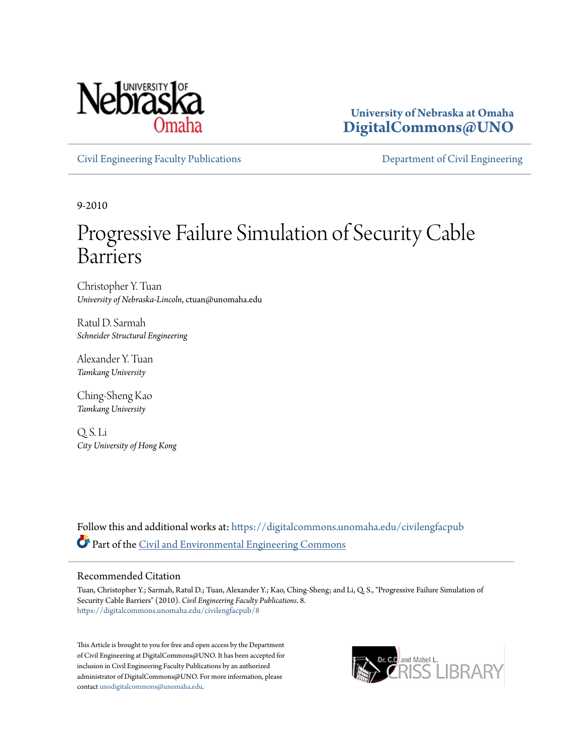

**University of Nebraska at Omaha [DigitalCommons@UNO](https://digitalcommons.unomaha.edu?utm_source=digitalcommons.unomaha.edu%2Fcivilengfacpub%2F8&utm_medium=PDF&utm_campaign=PDFCoverPages)**

[Civil Engineering Faculty Publications](https://digitalcommons.unomaha.edu/civilengfacpub?utm_source=digitalcommons.unomaha.edu%2Fcivilengfacpub%2F8&utm_medium=PDF&utm_campaign=PDFCoverPages) [Department of Civil Engineering](https://digitalcommons.unomaha.edu/civilengineer?utm_source=digitalcommons.unomaha.edu%2Fcivilengfacpub%2F8&utm_medium=PDF&utm_campaign=PDFCoverPages)

9-2010

# Progressive Failure Simulation of Security Cable Barriers

Christopher Y. Tuan *University of Nebraska-Lincoln*, ctuan@unomaha.edu

Ratul D. Sarmah *Schneider Structural Engineering*

Alexander Y. Tuan *Tamkang University*

Ching-Sheng Kao *Tamkang University*

Q. S. Li *City University of Hong Kong*

Follow this and additional works at: [https://digitalcommons.unomaha.edu/civilengfacpub](https://digitalcommons.unomaha.edu/civilengfacpub?utm_source=digitalcommons.unomaha.edu%2Fcivilengfacpub%2F8&utm_medium=PDF&utm_campaign=PDFCoverPages) Part of the [Civil and Environmental Engineering Commons](http://network.bepress.com/hgg/discipline/251?utm_source=digitalcommons.unomaha.edu%2Fcivilengfacpub%2F8&utm_medium=PDF&utm_campaign=PDFCoverPages)

#### Recommended Citation

Tuan, Christopher Y.; Sarmah, Ratul D.; Tuan, Alexander Y.; Kao, Ching-Sheng; and Li, Q. S., "Progressive Failure Simulation of Security Cable Barriers" (2010). *Civil Engineering Faculty Publications*. 8. [https://digitalcommons.unomaha.edu/civilengfacpub/8](https://digitalcommons.unomaha.edu/civilengfacpub/8?utm_source=digitalcommons.unomaha.edu%2Fcivilengfacpub%2F8&utm_medium=PDF&utm_campaign=PDFCoverPages)

This Article is brought to you for free and open access by the Department of Civil Engineering at DigitalCommons@UNO. It has been accepted for inclusion in Civil Engineering Faculty Publications by an authorized administrator of DigitalCommons@UNO. For more information, please contact [unodigitalcommons@unomaha.edu.](mailto:unodigitalcommons@unomaha.edu)

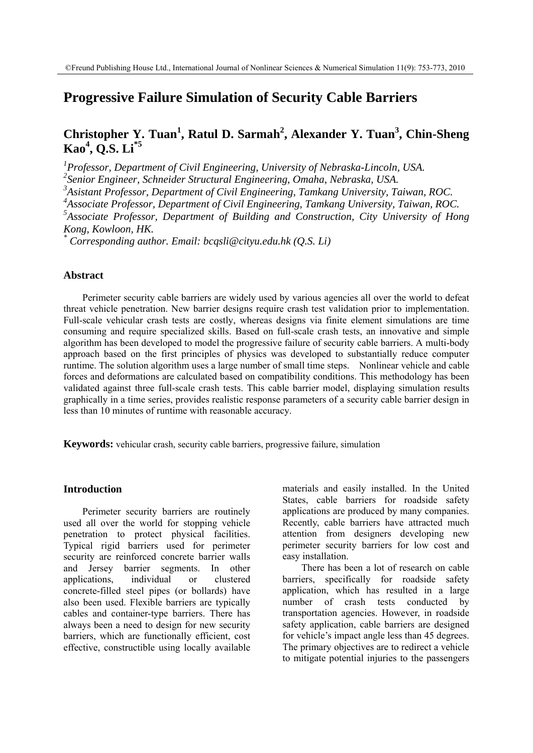## **Progressive Failure Simulation of Security Cable Barriers**

# **Christopher Y. Tuan<sup>1</sup> , Ratul D. Sarmah<sup>2</sup> , Alexander Y. Tuan<sup>3</sup> , Chin-Sheng Kao<sup>4</sup> , Q.S. Li\*5**

*1 Professor, Department of Civil Engineering, University of Nebraska-Lincoln, USA.* 

*2 Senior Engineer, Schneider Structural Engineering, Omaha, Nebraska, USA.* 

*3 Asistant Professor, Department of Civil Engineering, Tamkang University, Taiwan, ROC.* 

*4 Associate Professor, Department of Civil Engineering, Tamkang University, Taiwan, ROC.* 

*5 Associate Professor, Department of Building and Construction, City University of Hong Kong, Kowloon, HK.* 

*\* Corresponding author. Email: bcqsli@cityu.edu.hk (Q.S. Li)* 

## **Abstract**

Perimeter security cable barriers are widely used by various agencies all over the world to defeat threat vehicle penetration. New barrier designs require crash test validation prior to implementation. Full-scale vehicular crash tests are costly, whereas designs via finite element simulations are time consuming and require specialized skills. Based on full-scale crash tests, an innovative and simple algorithm has been developed to model the progressive failure of security cable barriers. A multi-body approach based on the first principles of physics was developed to substantially reduce computer runtime. The solution algorithm uses a large number of small time steps. Nonlinear vehicle and cable forces and deformations are calculated based on compatibility conditions. This methodology has been validated against three full-scale crash tests. This cable barrier model, displaying simulation results graphically in a time series, provides realistic response parameters of a security cable barrier design in less than 10 minutes of runtime with reasonable accuracy.

**Keywords:** vehicular crash, security cable barriers, progressive failure, simulation

#### **Introduction**

Perimeter security barriers are routinely used all over the world for stopping vehicle penetration to protect physical facilities. Typical rigid barriers used for perimeter security are reinforced concrete barrier walls and Jersey barrier segments. In other applications, individual or clustered concrete-filled steel pipes (or bollards) have also been used. Flexible barriers are typically cables and container-type barriers. There has always been a need to design for new security barriers, which are functionally efficient, cost effective, constructible using locally available materials and easily installed. In the United States, cable barriers for roadside safety applications are produced by many companies. Recently, cable barriers have attracted much attention from designers developing new perimeter security barriers for low cost and easy installation.

There has been a lot of research on cable barriers, specifically for roadside safety application, which has resulted in a large number of crash tests conducted by transportation agencies. However, in roadside safety application, cable barriers are designed for vehicle's impact angle less than 45 degrees. The primary objectives are to redirect a vehicle to mitigate potential injuries to the passengers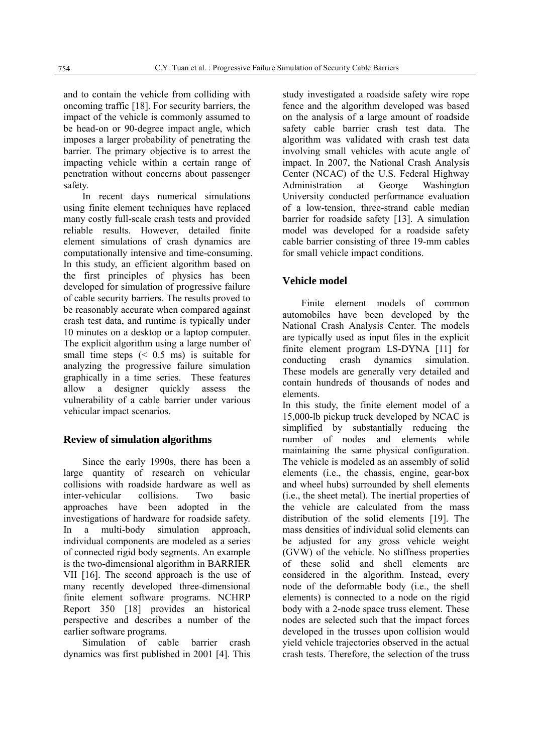and to contain the vehicle from colliding with oncoming traffic [18]. For security barriers, the impact of the vehicle is commonly assumed to be head-on or 90-degree impact angle, which imposes a larger probability of penetrating the barrier. The primary objective is to arrest the impacting vehicle within a certain range of penetration without concerns about passenger safety.

In recent days numerical simulations using finite element techniques have replaced many costly full-scale crash tests and provided reliable results. However, detailed finite element simulations of crash dynamics are computationally intensive and time-consuming. In this study, an efficient algorithm based on the first principles of physics has been developed for simulation of progressive failure of cable security barriers. The results proved to be reasonably accurate when compared against crash test data, and runtime is typically under 10 minutes on a desktop or a laptop computer. The explicit algorithm using a large number of small time steps  $(0.5 \text{ ms})$  is suitable for analyzing the progressive failure simulation graphically in a time series. These features allow a designer quickly assess the vulnerability of a cable barrier under various vehicular impact scenarios.

## **Review of simulation algorithms**

Since the early 1990s, there has been a large quantity of research on vehicular collisions with roadside hardware as well as inter-vehicular collisions. Two basic approaches have been adopted in the investigations of hardware for roadside safety. In a multi-body simulation approach, individual components are modeled as a series of connected rigid body segments. An example is the two-dimensional algorithm in BARRIER VII [16]. The second approach is the use of many recently developed three-dimensional finite element software programs. NCHRP Report 350 [18] provides an historical perspective and describes a number of the earlier software programs.

Simulation of cable barrier crash dynamics was first published in 2001 [4]. This study investigated a roadside safety wire rope fence and the algorithm developed was based on the analysis of a large amount of roadside safety cable barrier crash test data. The algorithm was validated with crash test data involving small vehicles with acute angle of impact. In 2007, the National Crash Analysis Center (NCAC) of the U.S. Federal Highway Administration at George Washington University conducted performance evaluation of a low-tension, three-strand cable median barrier for roadside safety [13]. A simulation model was developed for a roadside safety cable barrier consisting of three 19-mm cables for small vehicle impact conditions.

## **Vehicle model**

Finite element models of common automobiles have been developed by the National Crash Analysis Center. The models are typically used as input files in the explicit finite element program LS-DYNA [11] for conducting crash dynamics simulation. These models are generally very detailed and contain hundreds of thousands of nodes and elements.

In this study, the finite element model of a 15,000-lb pickup truck developed by NCAC is simplified by substantially reducing the number of nodes and elements while maintaining the same physical configuration. The vehicle is modeled as an assembly of solid elements (i.e., the chassis, engine, gear-box and wheel hubs) surrounded by shell elements (i.e., the sheet metal). The inertial properties of the vehicle are calculated from the mass distribution of the solid elements [19]. The mass densities of individual solid elements can be adjusted for any gross vehicle weight (GVW) of the vehicle. No stiffness properties of these solid and shell elements are considered in the algorithm. Instead, every node of the deformable body (i.e., the shell elements) is connected to a node on the rigid body with a 2-node space truss element. These nodes are selected such that the impact forces developed in the trusses upon collision would yield vehicle trajectories observed in the actual crash tests. Therefore, the selection of the truss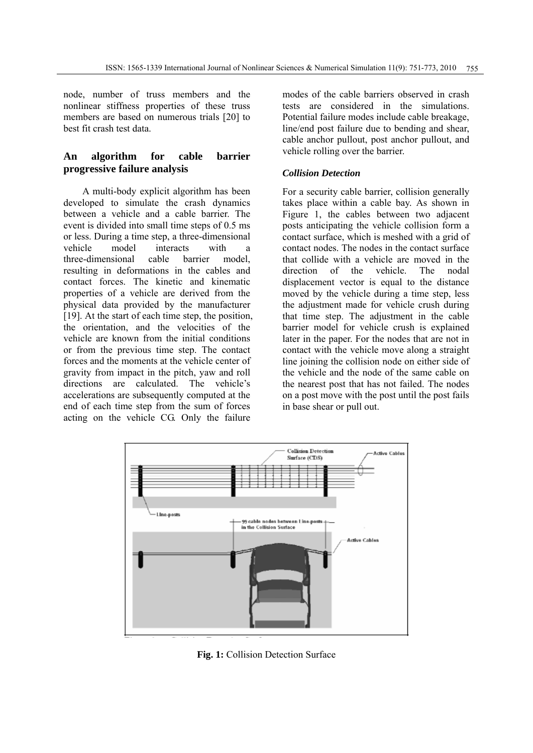node, number of truss members and the nonlinear stiffness properties of these truss members are based on numerous trials [20] to best fit crash test data.

## **An algorithm for cable barrier progressive failure analysis**

A multi-body explicit algorithm has been developed to simulate the crash dynamics between a vehicle and a cable barrier. The event is divided into small time steps of 0.5 ms or less. During a time step, a three-dimensional vehicle model interacts with a three-dimensional cable barrier model, resulting in deformations in the cables and contact forces. The kinetic and kinematic properties of a vehicle are derived from the physical data provided by the manufacturer [19]. At the start of each time step, the position, the orientation, and the velocities of the vehicle are known from the initial conditions or from the previous time step. The contact forces and the moments at the vehicle center of gravity from impact in the pitch, yaw and roll directions are calculated. The vehicle's accelerations are subsequently computed at the end of each time step from the sum of forces acting on the vehicle CG. Only the failure

modes of the cable barriers observed in crash tests are considered in the simulations. Potential failure modes include cable breakage, line/end post failure due to bending and shear, cable anchor pullout, post anchor pullout, and vehicle rolling over the barrier.

## *Collision Detection*

For a security cable barrier, collision generally takes place within a cable bay. As shown in Figure 1, the cables between two adjacent posts anticipating the vehicle collision form a contact surface, which is meshed with a grid of contact nodes. The nodes in the contact surface that collide with a vehicle are moved in the direction of the vehicle. The nodal displacement vector is equal to the distance moved by the vehicle during a time step, less the adjustment made for vehicle crush during that time step. The adjustment in the cable barrier model for vehicle crush is explained later in the paper. For the nodes that are not in contact with the vehicle move along a straight line joining the collision node on either side of the vehicle and the node of the same cable on the nearest post that has not failed. The nodes on a post move with the post until the post fails in base shear or pull out.



**Fig. 1:** Collision Detection Surface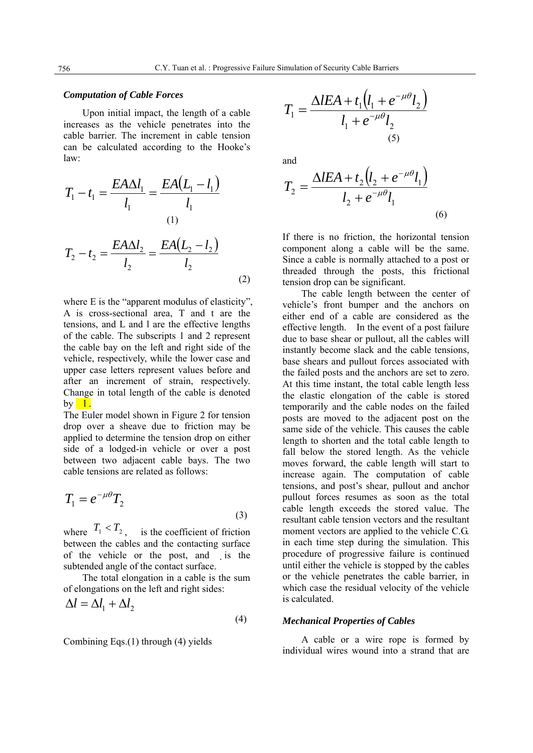#### *Computation of Cable Forces*

Upon initial impact, the length of a cable increases as the vehicle penetrates into the cable barrier. The increment in cable tension can be calculated according to the Hooke's law:

$$
T_1 - t_1 = \frac{EA\Delta l_1}{l_1} = \frac{EA(L_1 - l_1)}{l_1}
$$
  
(1)  

$$
T_2 - t_2 = \frac{EA\Delta l_2}{l_2} = \frac{EA(L_2 - l_2)}{l_2}
$$
  
(2)

where E is the "apparent modulus of elasticity", A is cross-sectional area, T and t are the tensions, and L and l are the effective lengths of the cable. The subscripts 1 and 2 represent the cable bay on the left and right side of the vehicle, respectively, while the lower case and upper case letters represent values before and after an increment of strain, respectively. Change in total length of the cable is denoted  $\mathbf{b} \mathbf{v}$  |  $\mathbf{l}$ .

The Euler model shown in Figure 2 for tension drop over a sheave due to friction may be applied to determine the tension drop on either side of a lodged-in vehicle or over a post between two adjacent cable bays. The two cable tensions are related as follows:

$$
T_1 = e^{-\mu \theta} T_2 \tag{3}
$$

where  $T_1 < T_2$ , is the coefficient of friction between the cables and the contacting surface of the vehicle or the post, and is the subtended angle of the contact surface.

The total elongation in a cable is the sum of elongations on the left and right sides:

$$
\Delta l = \Delta l_1 + \Delta l_2 \tag{4}
$$

Combining Eqs.(1) through (4) yields

$$
T_1 = \frac{\Delta IEA + t_1(l_1 + e^{-\mu\theta}l_2)}{l_1 + e^{-\mu\theta}l_2}
$$
\n(5)

and

$$
T_2 = \frac{\Delta IEA + t_2(l_2 + e^{-\mu\theta}l_1)}{l_2 + e^{-\mu\theta}l_1}
$$
\n(6)

If there is no friction, the horizontal tension component along a cable will be the same. Since a cable is normally attached to a post or threaded through the posts, this frictional tension drop can be significant.

The cable length between the center of vehicle's front bumper and the anchors on either end of a cable are considered as the effective length. In the event of a post failure due to base shear or pullout, all the cables will instantly become slack and the cable tensions, base shears and pullout forces associated with the failed posts and the anchors are set to zero. At this time instant, the total cable length less the elastic elongation of the cable is stored temporarily and the cable nodes on the failed posts are moved to the adjacent post on the same side of the vehicle. This causes the cable length to shorten and the total cable length to fall below the stored length. As the vehicle moves forward, the cable length will start to increase again. The computation of cable tensions, and post's shear, pullout and anchor pullout forces resumes as soon as the total cable length exceeds the stored value. The resultant cable tension vectors and the resultant moment vectors are applied to the vehicle C.G. in each time step during the simulation. This procedure of progressive failure is continued until either the vehicle is stopped by the cables or the vehicle penetrates the cable barrier, in which case the residual velocity of the vehicle is calculated.

#### *Mechanical Properties of Cables*

A cable or a wire rope is formed by individual wires wound into a strand that are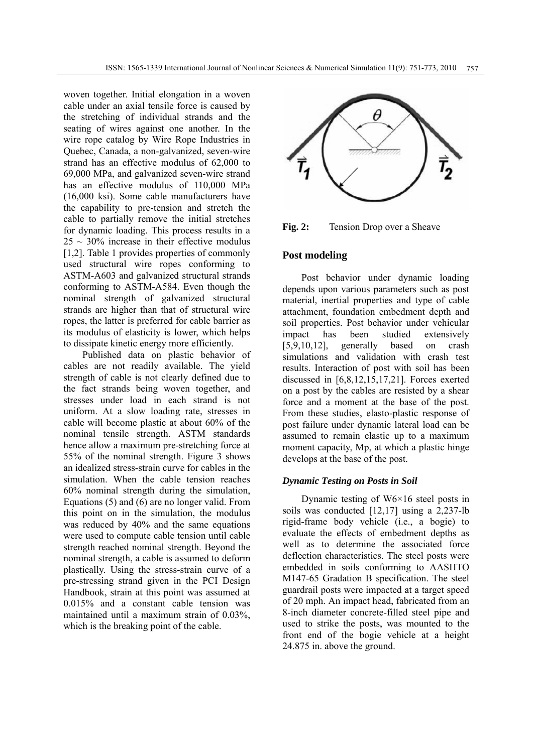woven together. Initial elongation in a woven cable under an axial tensile force is caused by the stretching of individual strands and the seating of wires against one another. In the wire rope catalog by Wire Rope Industries in Quebec, Canada, a non-galvanized, seven-wire strand has an effective modulus of 62,000 to 69,000 MPa, and galvanized seven-wire strand has an effective modulus of 110,000 MPa (16,000 ksi). Some cable manufacturers have the capability to pre-tension and stretch the cable to partially remove the initial stretches for dynamic loading. This process results in a  $25 \sim 30\%$  increase in their effective modulus [1,2]. Table 1 provides properties of commonly used structural wire ropes conforming to ASTM-A603 and galvanized structural strands conforming to ASTM-A584. Even though the nominal strength of galvanized structural strands are higher than that of structural wire ropes, the latter is preferred for cable barrier as its modulus of elasticity is lower, which helps to dissipate kinetic energy more efficiently.

Published data on plastic behavior of cables are not readily available. The yield strength of cable is not clearly defined due to the fact strands being woven together, and stresses under load in each strand is not uniform. At a slow loading rate, stresses in cable will become plastic at about 60% of the nominal tensile strength. ASTM standards hence allow a maximum pre-stretching force at 55% of the nominal strength. Figure 3 shows an idealized stress-strain curve for cables in the simulation. When the cable tension reaches 60% nominal strength during the simulation, Equations (5) and (6) are no longer valid. From this point on in the simulation, the modulus was reduced by 40% and the same equations were used to compute cable tension until cable strength reached nominal strength. Beyond the nominal strength, a cable is assumed to deform plastically. Using the stress-strain curve of a pre-stressing strand given in the PCI Design Handbook, strain at this point was assumed at 0.015% and a constant cable tension was maintained until a maximum strain of 0.03%, which is the breaking point of the cable.



**Fig. 2:** Tension Drop over a Sheave

## **Post modeling**

Post behavior under dynamic loading depends upon various parameters such as post material, inertial properties and type of cable attachment, foundation embedment depth and soil properties. Post behavior under vehicular impact has been studied extensively [5,9,10,12], generally based on crash simulations and validation with crash test results. Interaction of post with soil has been discussed in [6,8,12,15,17,21]. Forces exerted on a post by the cables are resisted by a shear force and a moment at the base of the post. From these studies, elasto-plastic response of post failure under dynamic lateral load can be assumed to remain elastic up to a maximum moment capacity, Mp, at which a plastic hinge develops at the base of the post.

## *Dynamic Testing on Posts in Soil*

Dynamic testing of W6×16 steel posts in soils was conducted [12,17] using a 2,237-lb rigid-frame body vehicle (i.e., a bogie) to evaluate the effects of embedment depths as well as to determine the associated force deflection characteristics. The steel posts were embedded in soils conforming to AASHTO M147-65 Gradation B specification. The steel guardrail posts were impacted at a target speed of 20 mph. An impact head, fabricated from an 8-inch diameter concrete-filled steel pipe and used to strike the posts, was mounted to the front end of the bogie vehicle at a height 24.875 in. above the ground.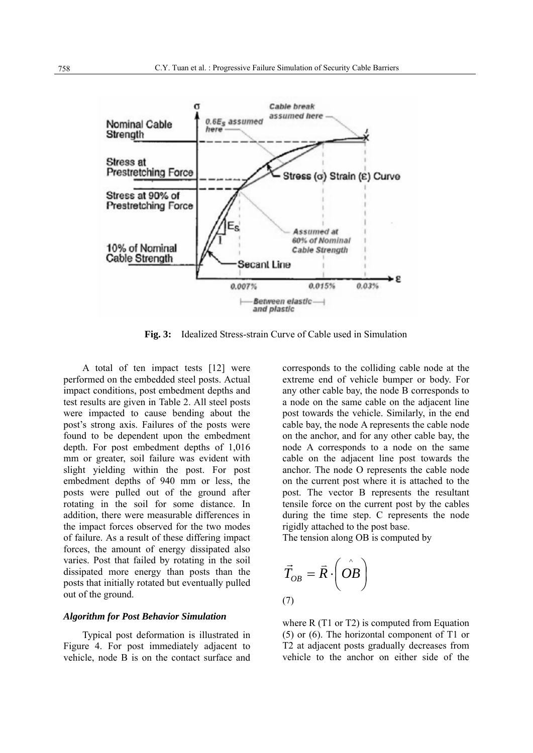

**Fig. 3:** Idealized Stress-strain Curve of Cable used in Simulation

A total of ten impact tests [12] were performed on the embedded steel posts. Actual impact conditions, post embedment depths and test results are given in Table 2. All steel posts were impacted to cause bending about the post's strong axis. Failures of the posts were found to be dependent upon the embedment depth. For post embedment depths of 1,016 mm or greater, soil failure was evident with slight yielding within the post. For post embedment depths of 940 mm or less, the posts were pulled out of the ground after rotating in the soil for some distance. In addition, there were measurable differences in the impact forces observed for the two modes of failure. As a result of these differing impact forces, the amount of energy dissipated also varies. Post that failed by rotating in the soil dissipated more energy than posts than the posts that initially rotated but eventually pulled out of the ground.

#### *Algorithm for Post Behavior Simulation*

Typical post deformation is illustrated in Figure 4. For post immediately adjacent to vehicle, node B is on the contact surface and

corresponds to the colliding cable node at the extreme end of vehicle bumper or body. For any other cable bay, the node B corresponds to a node on the same cable on the adjacent line post towards the vehicle. Similarly, in the end cable bay, the node A represents the cable node on the anchor, and for any other cable bay, the node A corresponds to a node on the same cable on the adjacent line post towards the anchor. The node O represents the cable node on the current post where it is attached to the post. The vector B represents the resultant tensile force on the current post by the cables during the time step. C represents the node rigidly attached to the post base.

The tension along OB is computed by

$$
\vec{T}_{OB} = \vec{R} \cdot \left( \hat{OB} \right)
$$
\n(7)

where R (T1 or T2) is computed from Equation (5) or (6). The horizontal component of T1 or T2 at adjacent posts gradually decreases from vehicle to the anchor on either side of the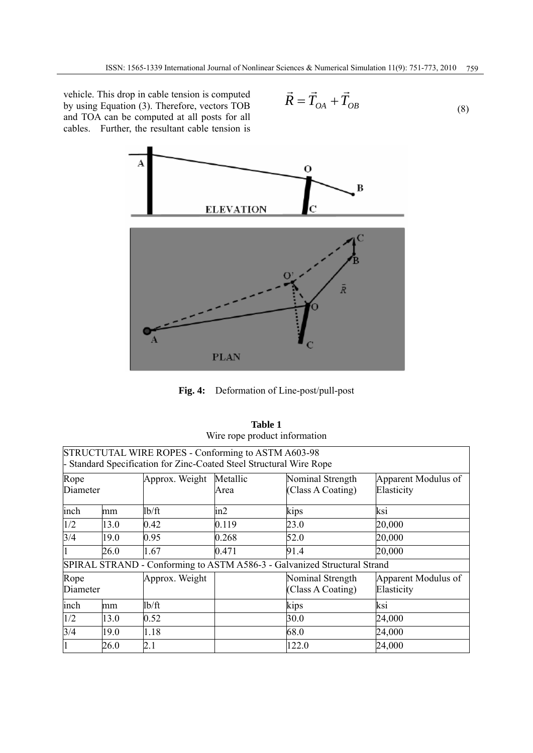vehicle. This drop in cable tension is computed by using Equation (3). Therefore, vectors TOB and TOA can be computed at all posts for all cables. Further, the resultant cable tension is

$$
\vec{R} = \vec{T}_{OA} + \vec{T}_{OB}
$$
\n(8)



**Fig. 4:** Deformation of Line-post/pull-post

|                  |      |                                                                                                                           |                  | Wire rope product information                                            |                                   |
|------------------|------|---------------------------------------------------------------------------------------------------------------------------|------------------|--------------------------------------------------------------------------|-----------------------------------|
|                  |      | STRUCTUTAL WIRE ROPES - Conforming to ASTM A603-98<br>- Standard Specification for Zinc-Coated Steel Structural Wire Rope |                  |                                                                          |                                   |
| Rope<br>Diameter |      | Approx. Weight                                                                                                            | Metallic<br>Area | Nominal Strength<br>(Class A Coating)                                    | Apparent Modulus of<br>Elasticity |
| inch             | mm   | 1b/ft                                                                                                                     | in2              | kips                                                                     | ksi                               |
| 1/2              | 13.0 | 0.42                                                                                                                      | 0.119            | 23.0                                                                     | 20,000                            |
| 3/4<br>19.0      |      | 0.95                                                                                                                      | 0.268            | 52.0                                                                     | 20,000                            |
| 26.0             |      | 1.67                                                                                                                      | 0.471            | 91.4                                                                     | 20,000                            |
|                  |      |                                                                                                                           |                  | SPIRAL STRAND - Conforming to ASTM A586-3 - Galvanized Structural Strand |                                   |
| Rope<br>Diameter |      | Approx. Weight                                                                                                            |                  | Nominal Strength<br>(Class A Coating)                                    | Apparent Modulus of<br>Elasticity |
| inch             | mm   | lb/ft                                                                                                                     |                  | kips                                                                     | ksi                               |
| 1/2              | 13.0 | 0.52                                                                                                                      |                  | 30.0                                                                     | 24,000                            |
| 3/4              | 19.0 | 1.18                                                                                                                      |                  | 68.0                                                                     | 24,000                            |
| $\mathbf{1}$     | 26.0 | 2.1                                                                                                                       |                  | 122.0                                                                    | 24,000                            |

| <b>Table 1</b>                |
|-------------------------------|
| Wire rope product information |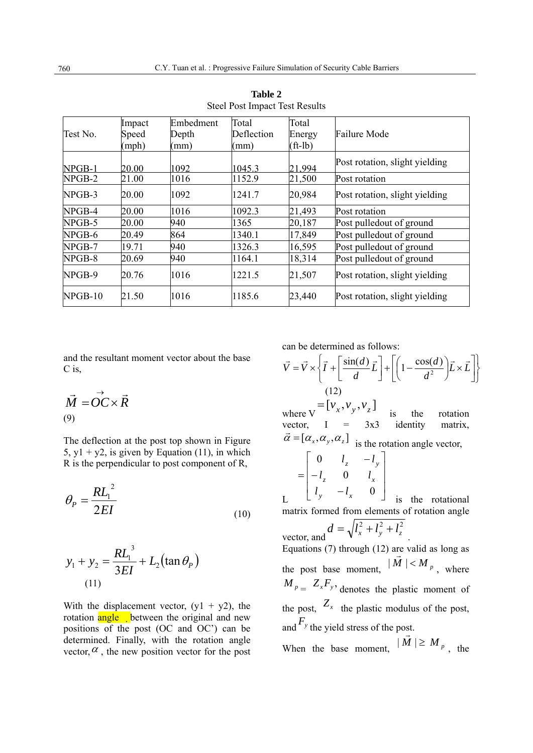| Test No. | Impact<br>Speed<br>(mph) | Embedment<br>Depth<br>(mm) | Total<br>Deflection<br>(mm) | Total<br>Energy<br>$({\text{ft-lb}})$ | Failure Mode                   |
|----------|--------------------------|----------------------------|-----------------------------|---------------------------------------|--------------------------------|
| $NPGB-1$ | 20.00                    | 1092                       | 1045.3                      | 21 994                                | Post rotation, slight yielding |
| NPGB-2   | 21.00                    | 1016                       | 1152.9                      | 21,500                                | Post rotation                  |
| $NPGB-3$ | 20.00                    | 1092                       | 1241.7                      | 20,984                                | Post rotation, slight yielding |
| NPGB-4   | 20.00                    | 1016                       | 1092.3                      | 21,493                                | Post rotation                  |
| NPGB-5   | 20.00                    | 940                        | 1365                        | 20,187                                | Post pulledout of ground       |
| NPGB-6   | 20.49                    | 864                        | 1340.1                      | 17,849                                | Post pulledout of ground       |
| NPGB-7   | 19.71                    | 940                        | 1326.3                      | 16,595                                | Post pulledout of ground       |
| NPGB-8   | 20.69                    | 940                        | 1164.1                      | 18,314                                | Post pulledout of ground       |
| NPGB-9   | 20.76                    | 1016                       | 1221.5                      | 21,507                                | Post rotation, slight yielding |
| NPGB-10  | 21.50                    | 1016                       | 1185.6                      | 23,440                                | Post rotation, slight yielding |

**Table 2**  Steel Post Impact Test Results

and the resultant moment vector about the base C is,

$$
\vec{M} = \vec{OC} \times \vec{R}
$$
  
(9)

The deflection at the post top shown in Figure 5,  $y1 + y2$ , is given by Equation (11), in which R is the perpendicular to post component of R,

$$
\theta_P = \frac{RL_1^2}{2EI} \tag{10}
$$

$$
y_1 + y_2 = \frac{RL_1^3}{3EI} + L_2(\tan \theta_P)
$$
  
(11)

With the displacement vector,  $(y1 + y2)$ , the rotation angle between the original and new positions of the post (OC and OC') can be determined. Finally, with the rotation angle vector,  $\alpha$ , the new position vector for the post can be determined as follows:

$$
\vec{V} = \vec{V} \times \left\{ \vec{I} + \left[ \frac{\sin(d)}{d} \vec{L} \right] + \left[ \left( 1 - \frac{\cos(d)}{d^2} \right) \vec{L} \times \vec{L} \right] \right\}
$$
  
\n
$$
= \left[ V_x, V_y, V_z \right] \text{ is the rotation\nvector, } I = 3x3 \text{ identity matrix,}
$$
  
\n
$$
\vec{\alpha} = [\alpha_x, \alpha_y, \alpha_z] \text{ is the rotation angle vector,}
$$
  
\n
$$
= \begin{bmatrix} 0 & l_z & -l_y \\ -l_z & 0 & l_x \end{bmatrix}
$$

L ⎥  $\overline{\phantom{a}}$  $\mathsf I$  $\begin{bmatrix} l_y & -l_y \end{bmatrix}$ 0 *y*  $-\iota_x$  $l_v$   $-l$  is the rotational matrix formed from elements of rotation angle vector, and  $d = \sqrt{l_x^2 + l_y^2 + l_z^2}$ Equations (7) through (12) are valid as long as the post base moment,  $|\vec{M}| < M_p$ , where

 $M_{p} = Z_x F_y$ , denotes the plastic moment of the post,  $Z_x$  the plastic modulus of the post, and  $F_y$  the yield stress of the post.

When the base moment,  $|\vec{M}| \ge M_p$ , the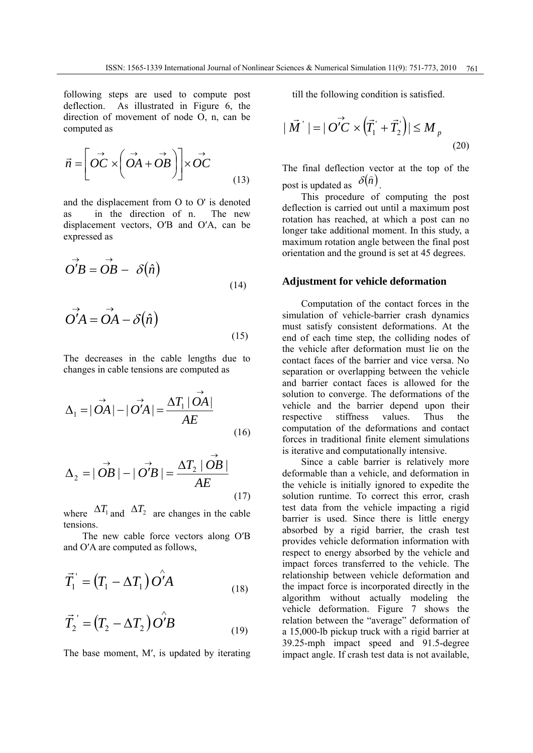following steps are used to compute post deflection. As illustrated in Figure 6, the direction of movement of node O, n, can be computed as

$$
\vec{n} = \left[ \vec{OC} \times \left( \vec{OA} + \vec{OB} \right) \right] \times \vec{OC}
$$
\n(13)

and the displacement from O to O' is denoted as in the direction of n. The new displacement vectors, O′B and O′A, can be expressed as

$$
\vec{O'B} = \vec{OB} - \delta(\hat{n})
$$
\n(14)

$$
\vec{OA} = \vec{OA} - \delta(\hat{n})
$$
\n(15)

The decreases in the cable lengths due to changes in cable tensions are computed as

$$
\Delta_1 = |\overrightarrow{OA}| - |\overrightarrow{O'A}| = \frac{\Delta T_1 |\overrightarrow{OA}|}{AE}
$$
\n(16)

$$
\Delta_2 = |\overrightarrow{OB}| - |\overrightarrow{O'B}| = \frac{\Delta T_2 |\overrightarrow{OB}|}{AE}
$$
\n(17)

where  $\Delta T_1$  and  $\Delta T_2$  are changes in the cable tensions.

The new cable force vectors along O′B and O′A are computed as follows,

$$
\overrightarrow{T}_1 = (T_1 - \Delta T_1) \overrightarrow{O'A} \tag{18}
$$

$$
\vec{T}_2 = (T_2 - \Delta T_2) \stackrel{\frown}{O'B} \tag{19}
$$

The base moment, M′, is updated by iterating

till the following condition is satisfied.

$$
|\vec{M}^{\cdot}| = |\vec{OC} \times (\vec{T}_1^{\cdot} + \vec{T}_2^{\cdot})| \le M_p
$$
\n(20)

The final deflection vector at the top of the post is updated as  $\delta(\hat{n})$ 

This procedure of computing the post deflection is carried out until a maximum post rotation has reached, at which a post can no longer take additional moment. In this study, a maximum rotation angle between the final post orientation and the ground is set at 45 degrees.

#### **Adjustment for vehicle deformation**

Computation of the contact forces in the simulation of vehicle-barrier crash dynamics must satisfy consistent deformations. At the end of each time step, the colliding nodes of the vehicle after deformation must lie on the contact faces of the barrier and vice versa. No separation or overlapping between the vehicle and barrier contact faces is allowed for the solution to converge. The deformations of the vehicle and the barrier depend upon their respective stiffness values. Thus the computation of the deformations and contact forces in traditional finite element simulations is iterative and computationally intensive.

Since a cable barrier is relatively more deformable than a vehicle, and deformation in the vehicle is initially ignored to expedite the solution runtime. To correct this error, crash test data from the vehicle impacting a rigid barrier is used. Since there is little energy absorbed by a rigid barrier, the crash test provides vehicle deformation information with respect to energy absorbed by the vehicle and impact forces transferred to the vehicle. The relationship between vehicle deformation and the impact force is incorporated directly in the algorithm without actually modeling the vehicle deformation. Figure 7 shows the relation between the "average" deformation of a 15,000-lb pickup truck with a rigid barrier at 39.25-mph impact speed and 91.5-degree impact angle. If crash test data is not available,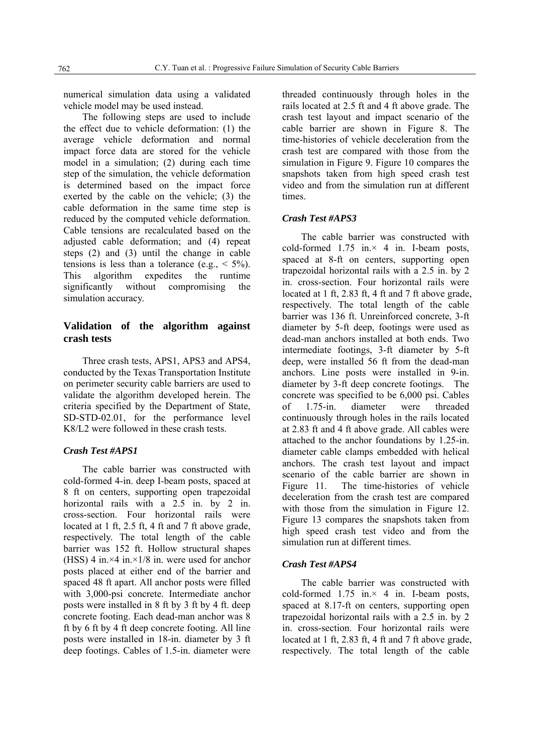numerical simulation data using a validated vehicle model may be used instead.

The following steps are used to include the effect due to vehicle deformation: (1) the average vehicle deformation and normal impact force data are stored for the vehicle model in a simulation; (2) during each time step of the simulation, the vehicle deformation is determined based on the impact force exerted by the cable on the vehicle; (3) the cable deformation in the same time step is reduced by the computed vehicle deformation. Cable tensions are recalculated based on the adjusted cable deformation; and (4) repeat steps (2) and (3) until the change in cable tensions is less than a tolerance (e.g.,  $\leq$  5%). This algorithm expedites the runtime significantly without compromising the simulation accuracy.

## **Validation of the algorithm against crash tests**

Three crash tests, APS1, APS3 and APS4, conducted by the Texas Transportation Institute on perimeter security cable barriers are used to validate the algorithm developed herein. The criteria specified by the Department of State, SD-STD-02.01, for the performance level K8/L2 were followed in these crash tests.

#### *Crash Test #APS1*

The cable barrier was constructed with cold-formed 4-in. deep I-beam posts, spaced at 8 ft on centers, supporting open trapezoidal horizontal rails with a 2.5 in. by 2 in. cross-section. Four horizontal rails were located at 1 ft, 2.5 ft, 4 ft and 7 ft above grade, respectively. The total length of the cable barrier was 152 ft. Hollow structural shapes (HSS) 4 in  $\times$ 4 in  $\times$ 1/8 in. were used for anchor posts placed at either end of the barrier and spaced 48 ft apart. All anchor posts were filled with 3,000-psi concrete. Intermediate anchor posts were installed in 8 ft by 3 ft by 4 ft. deep concrete footing. Each dead-man anchor was 8 ft by 6 ft by 4 ft deep concrete footing. All line posts were installed in 18-in. diameter by 3 ft deep footings. Cables of 1.5-in. diameter were threaded continuously through holes in the rails located at 2.5 ft and 4 ft above grade. The crash test layout and impact scenario of the cable barrier are shown in Figure 8. The time-histories of vehicle deceleration from the crash test are compared with those from the simulation in Figure 9. Figure 10 compares the snapshots taken from high speed crash test video and from the simulation run at different times.

#### *Crash Test #APS3*

The cable barrier was constructed with cold-formed  $1.75$  in. $\times$  4 in. I-beam posts, spaced at 8-ft on centers, supporting open trapezoidal horizontal rails with a 2.5 in. by 2 in. cross-section. Four horizontal rails were located at 1 ft, 2.83 ft, 4 ft and 7 ft above grade, respectively. The total length of the cable barrier was 136 ft. Unreinforced concrete, 3-ft diameter by 5-ft deep, footings were used as dead-man anchors installed at both ends. Two intermediate footings, 3-ft diameter by 5-ft deep, were installed 56 ft from the dead-man anchors. Line posts were installed in 9-in. diameter by 3-ft deep concrete footings. The concrete was specified to be 6,000 psi. Cables of 1.75-in. diameter were threaded continuously through holes in the rails located at 2.83 ft and 4 ft above grade. All cables were attached to the anchor foundations by 1.25-in. diameter cable clamps embedded with helical anchors. The crash test layout and impact scenario of the cable barrier are shown in Figure 11. The time-histories of vehicle deceleration from the crash test are compared with those from the simulation in Figure 12. Figure 13 compares the snapshots taken from high speed crash test video and from the simulation run at different times.

#### *Crash Test #APS4*

The cable barrier was constructed with cold-formed  $1.75$  in. $\times$  4 in. I-beam posts, spaced at 8.17-ft on centers, supporting open trapezoidal horizontal rails with a 2.5 in. by 2 in. cross-section. Four horizontal rails were located at 1 ft, 2.83 ft, 4 ft and 7 ft above grade, respectively. The total length of the cable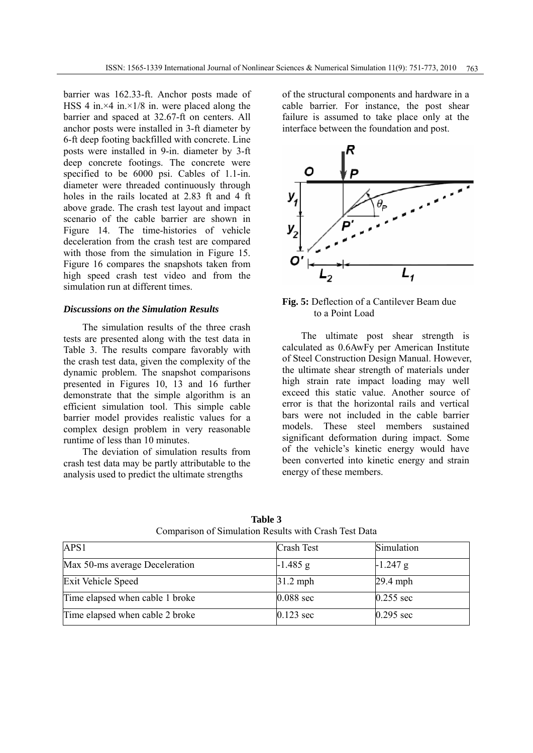barrier was 162.33-ft. Anchor posts made of HSS 4 in. $\times$ 4 in. $\times$ 1/8 in. were placed along the barrier and spaced at 32.67-ft on centers. All anchor posts were installed in 3-ft diameter by 6-ft deep footing backfilled with concrete. Line posts were installed in 9-in. diameter by 3-ft deep concrete footings. The concrete were specified to be 6000 psi. Cables of 1.1-in. diameter were threaded continuously through holes in the rails located at 2.83 ft and 4 ft above grade. The crash test layout and impact scenario of the cable barrier are shown in Figure 14. The time-histories of vehicle deceleration from the crash test are compared with those from the simulation in Figure 15. Figure 16 compares the snapshots taken from high speed crash test video and from the simulation run at different times.

#### *Discussions on the Simulation Results*

The simulation results of the three crash tests are presented along with the test data in Table 3. The results compare favorably with the crash test data, given the complexity of the dynamic problem. The snapshot comparisons presented in Figures 10, 13 and 16 further demonstrate that the simple algorithm is an efficient simulation tool. This simple cable barrier model provides realistic values for a complex design problem in very reasonable runtime of less than 10 minutes.

The deviation of simulation results from crash test data may be partly attributable to the analysis used to predict the ultimate strengths

of the structural components and hardware in a cable barrier. For instance, the post shear failure is assumed to take place only at the interface between the foundation and post.



**Fig. 5:** Deflection of a Cantilever Beam due to a Point Load

The ultimate post shear strength is calculated as 0.6AwFy per American Institute of Steel Construction Design Manual. However, the ultimate shear strength of materials under high strain rate impact loading may well exceed this static value. Another source of error is that the horizontal rails and vertical bars were not included in the cable barrier models. These steel members sustained significant deformation during impact. Some of the vehicle's kinetic energy would have been converted into kinetic energy and strain energy of these members.

| APS1                            | <b>Crash Test</b> | Simulation  |
|---------------------------------|-------------------|-------------|
| Max 50-ms average Deceleration  | $-1.485$ g        | $-1.247$ g  |
| Exit Vehicle Speed              | $31.2$ mph        | $29.4$ mph  |
| Time elapsed when cable 1 broke | $0.088$ sec       | $0.255$ sec |
| Time elapsed when cable 2 broke | $0.123$ sec       | $0.295$ sec |

**Table 3** Comparison of Simulation Results with Crash Test Data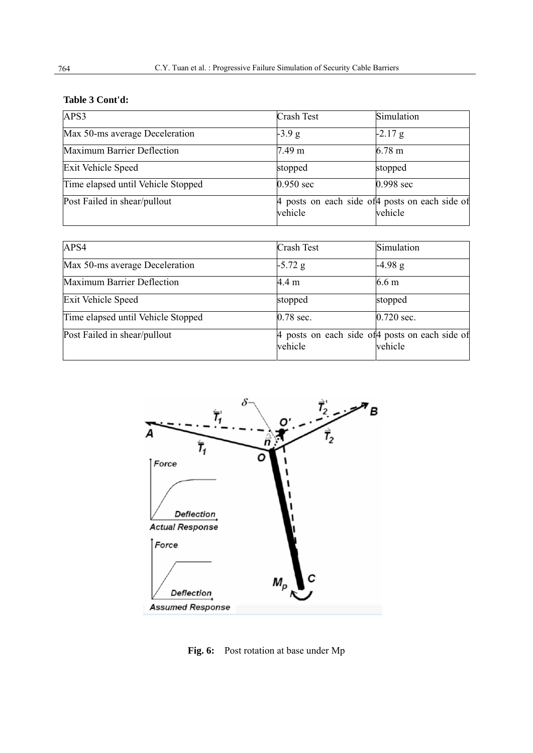## **Table 3 Cont'd:**

| APS3                               | Crash Test | Simulation                                                 |
|------------------------------------|------------|------------------------------------------------------------|
| Max 50-ms average Deceleration     | $-3.9 g$   | $-2.17$ g                                                  |
| Maximum Barrier Deflection         | 7.49 m     | $6.78$ m                                                   |
| <b>Exit Vehicle Speed</b>          | stopped    | stopped                                                    |
| Time elapsed until Vehicle Stopped | 0.950 sec  | 0.998 sec                                                  |
| Post Failed in shear/pullout       | vehicle    | 4 posts on each side of 4 posts on each side of<br>vehicle |

| APS4                               | Crash Test | Simulation                                                 |
|------------------------------------|------------|------------------------------------------------------------|
| Max 50-ms average Deceleration     | $-5.72$ g  | $-4.98$ g                                                  |
| Maximum Barrier Deflection         | 4.4 m      | 6.6 <sub>m</sub>                                           |
| <b>Exit Vehicle Speed</b>          | stopped    | stopped                                                    |
| Time elapsed until Vehicle Stopped | 0.78 sec.  | $0.720$ sec.                                               |
| Post Failed in shear/pullout       | vehicle    | 4 posts on each side of 4 posts on each side of<br>vehicle |



**Fig. 6:** Post rotation at base under Mp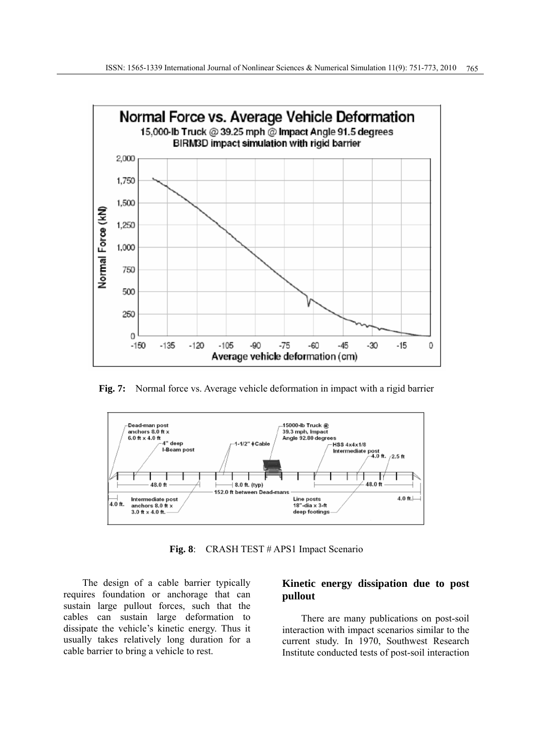

**Fig. 7:** Normal force vs. Average vehicle deformation in impact with a rigid barrier



**Fig. 8**: CRASH TEST # APS1 Impact Scenario

The design of a cable barrier typically requires foundation or anchorage that can sustain large pullout forces, such that the cables can sustain large deformation to dissipate the vehicle's kinetic energy. Thus it usually takes relatively long duration for a cable barrier to bring a vehicle to rest.

## **Kinetic energy dissipation due to post pullout**

There are many publications on post-soil interaction with impact scenarios similar to the current study. In 1970, Southwest Research Institute conducted tests of post-soil interaction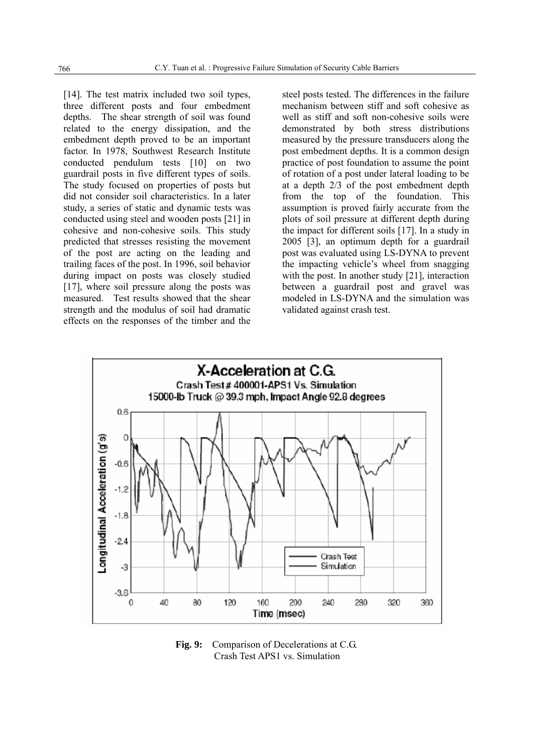[14]. The test matrix included two soil types, three different posts and four embedment depths. The shear strength of soil was found related to the energy dissipation, and the embedment depth proved to be an important factor. In 1978, Southwest Research Institute conducted pendulum tests [10] on two guardrail posts in five different types of soils. The study focused on properties of posts but did not consider soil characteristics. In a later study, a series of static and dynamic tests was conducted using steel and wooden posts [21] in cohesive and non-cohesive soils. This study predicted that stresses resisting the movement of the post are acting on the leading and trailing faces of the post. In 1996, soil behavior during impact on posts was closely studied [17], where soil pressure along the posts was measured. Test results showed that the shear strength and the modulus of soil had dramatic effects on the responses of the timber and the

steel posts tested. The differences in the failure mechanism between stiff and soft cohesive as well as stiff and soft non-cohesive soils were demonstrated by both stress distributions measured by the pressure transducers along the post embedment depths. It is a common design practice of post foundation to assume the point of rotation of a post under lateral loading to be at a depth 2/3 of the post embedment depth from the top of the foundation. This assumption is proved fairly accurate from the plots of soil pressure at different depth during the impact for different soils [17]. In a study in 2005 [3], an optimum depth for a guardrail post was evaluated using LS-DYNA to prevent the impacting vehicle's wheel from snagging with the post. In another study [21], interaction between a guardrail post and gravel was modeled in LS-DYNA and the simulation was validated against crash test.



**Fig. 9:** Comparison of Decelerations at C.G. Crash Test APS1 vs. Simulation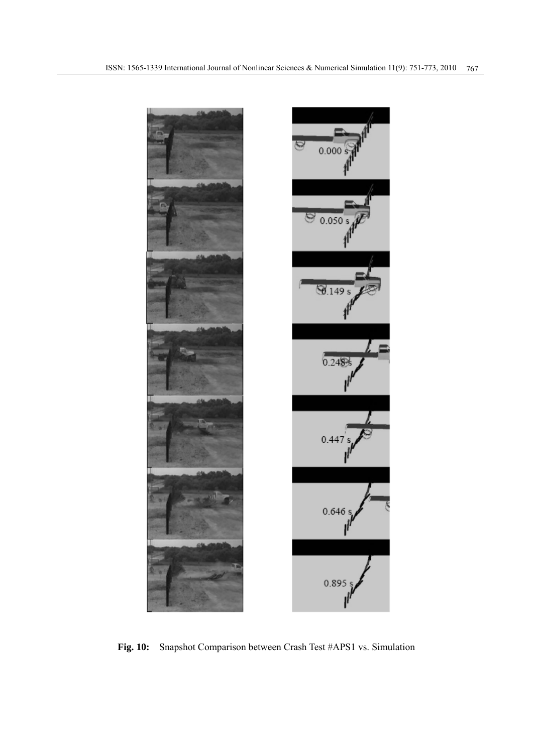

**Fig. 10:** Snapshot Comparison between Crash Test #APS1 vs. Simulation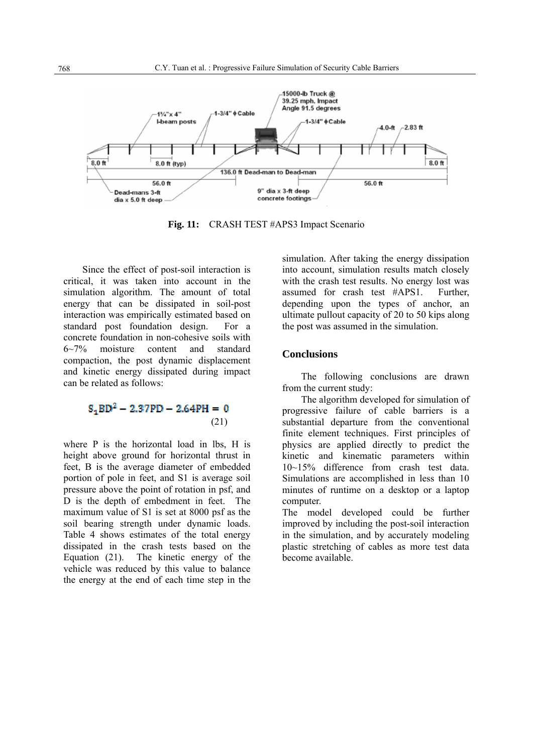

Fig. 11: CRASH TEST #APS3 Impact Scenario

Since the effect of post-soil interaction is critical, it was taken into account in the simulation algorithm. The amount of total energy that can be dissipated in soil-post interaction was empirically estimated based on standard post foundation design. For a concrete foundation in non-cohesive soils with 6~7% moisture content and standard compaction, the post dynamic displacement and kinetic energy dissipated during impact can be related as follows:

## $S_1BD^2 - 2.37PD - 2.64PH = 0$ (21)

where P is the horizontal load in lbs, H is height above ground for horizontal thrust in feet, B is the average diameter of embedded portion of pole in feet, and S1 is average soil pressure above the point of rotation in psf, and D is the depth of embedment in feet. The maximum value of S1 is set at 8000 psf as the soil bearing strength under dynamic loads. Table 4 shows estimates of the total energy dissipated in the crash tests based on the Equation (21). The kinetic energy of the vehicle was reduced by this value to balance the energy at the end of each time step in the

simulation. After taking the energy dissipation into account, simulation results match closely with the crash test results. No energy lost was assumed for crash test #APS1. Further, depending upon the types of anchor, an ultimate pullout capacity of 20 to 50 kips along the post was assumed in the simulation.

#### **Conclusions**

The following conclusions are drawn from the current study:

The algorithm developed for simulation of progressive failure of cable barriers is a substantial departure from the conventional finite element techniques. First principles of physics are applied directly to predict the kinetic and kinematic parameters within 10~15% difference from crash test data. Simulations are accomplished in less than 10 minutes of runtime on a desktop or a laptop computer.

The model developed could be further improved by including the post-soil interaction in the simulation, and by accurately modeling plastic stretching of cables as more test data become available.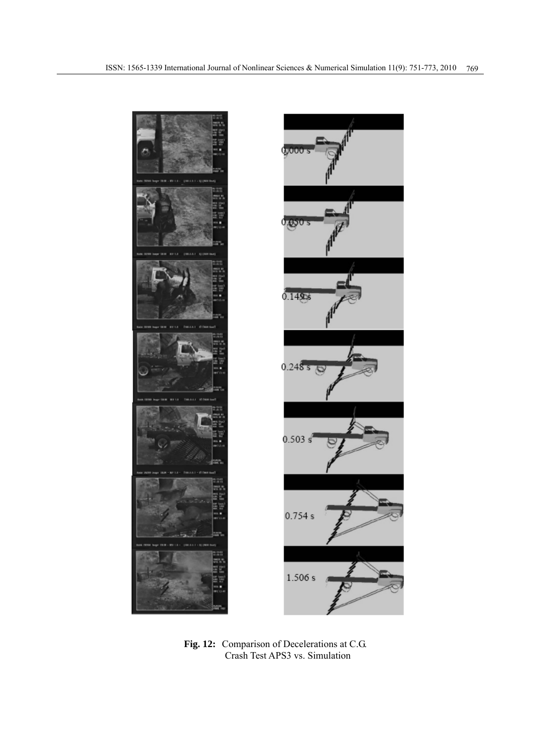

**Fig. 12:** Comparison of Decelerations at C.G. Crash Test APS3 vs. Simulation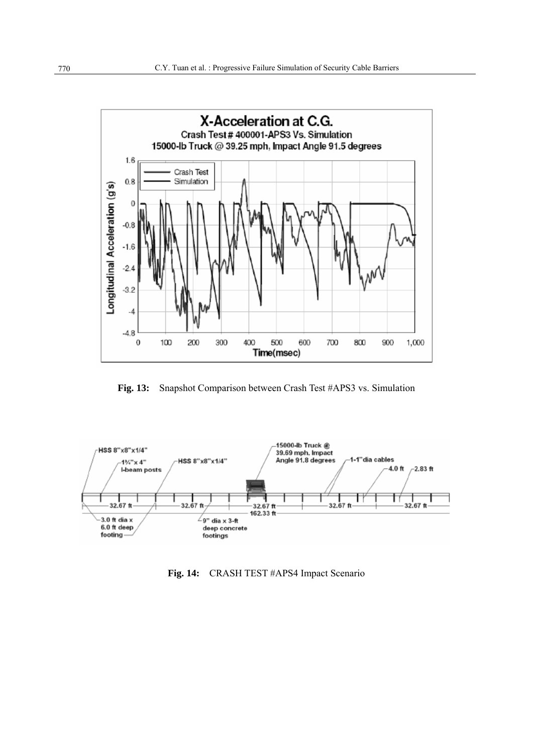

**Fig. 13:** Snapshot Comparison between Crash Test #APS3 vs. Simulation



**Fig. 14:** CRASH TEST #APS4 Impact Scenario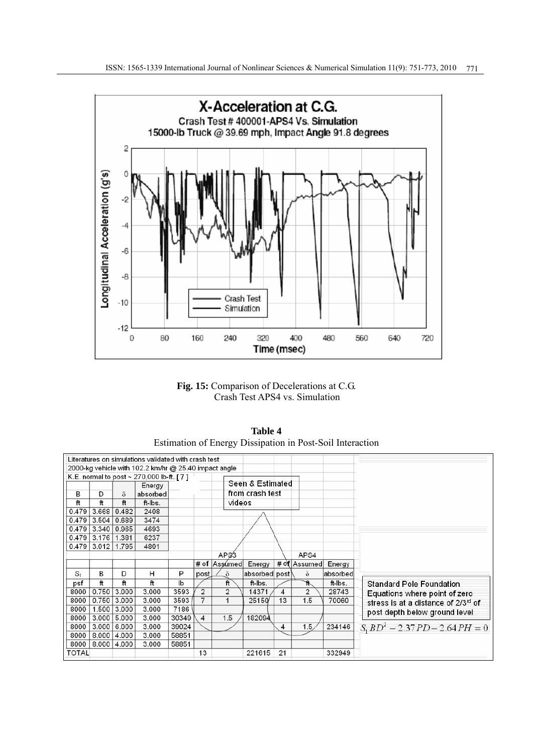

**Fig. 15:** Comparison of Decelerations at C.G. Crash Test APS4 vs. Simulation

| <b>Table 4</b>                                            |
|-----------------------------------------------------------|
| Estimation of Energy Dissipation in Post-Soil Interaction |

|                                          | Literatures on simulations validated with crash test<br>2000-kg vehicle with 102.2 km/hr @ 25.40 impact angle |       |          |       |                         |                  |                  |    |                |          |                                     |
|------------------------------------------|---------------------------------------------------------------------------------------------------------------|-------|----------|-------|-------------------------|------------------|------------------|----|----------------|----------|-------------------------------------|
| K.E. normal to post ~ 270,000 lb-ft. [7] |                                                                                                               |       |          |       |                         |                  |                  |    |                |          |                                     |
|                                          |                                                                                                               |       | Energy   |       |                         |                  | Seen & Estimated |    |                |          |                                     |
| в                                        | D                                                                                                             | δ     | absorbed |       |                         |                  | from crash test  |    |                |          |                                     |
| ft                                       | ft                                                                                                            | ft    | ft-Ibs.  |       |                         | videos           |                  |    |                |          |                                     |
| 0.479                                    | 3.668                                                                                                         | 0.482 | 2408     |       |                         |                  |                  |    |                |          |                                     |
| 0.479                                    | 3.504                                                                                                         | 0.689 | 3474     |       |                         |                  |                  |    |                |          |                                     |
| 0.479                                    | 3.340                                                                                                         | 0.965 | 4693     |       |                         |                  |                  |    |                |          |                                     |
| 0.479                                    | 3.176                                                                                                         | 1.381 | 6237     |       |                         |                  |                  |    |                |          |                                     |
| 0.479                                    | 3.012                                                                                                         | 1.795 | 4801     |       |                         |                  |                  |    |                |          |                                     |
|                                          |                                                                                                               |       |          |       |                         | AP <sub>33</sub> |                  |    | APS4           |          |                                     |
|                                          |                                                                                                               |       |          |       |                         | # of Assumed     | Energy           |    | # of Assumed   | Energy   |                                     |
| S <sub>1</sub>                           | в                                                                                                             | D     | н        | P     | post                    | δ                | absorbed post    |    | $\delta$       | absorbed |                                     |
| psf                                      | ft                                                                                                            | ft    | ft       | lb    |                         | ft               | ft-Ibs.          |    | 4              | ft-Ibs.  | <b>Standard Pole Foundation</b>     |
| 8000                                     | 0.750                                                                                                         | 3.000 | 3.000    | 3593  | $\overline{2}$          | $\overline{2}$   | 14371            | 4  | $\overline{2}$ | 28743    | Equations where point of zero       |
| 8000                                     | 0.750                                                                                                         | 3.000 | 3.000    | 3593  | $\overline{7}$          | $\mathbf{1}$     | 25150            | 13 | 1.5            | 70060    | stress is at a distance of 2/3rd of |
| 8000                                     | 1.500                                                                                                         | 3.000 | 3.000    | 7186  |                         |                  |                  |    |                |          | post depth below ground level       |
| 8000                                     | 3.000                                                                                                         | 5.000 | 3.000    | 30349 | $\overline{\mathbf{4}}$ | 1.5              | 182094           |    |                |          |                                     |
| 8000                                     | 3.000                                                                                                         | 6.000 | 3.000    | 39024 |                         |                  |                  | 4  | 1.5            | 234146   | $S_1 BD^2 - 2.37 PD - 2.64 PH = 0$  |
| 8000                                     | 8.000                                                                                                         | 4.000 | 3.000    | 58851 |                         |                  |                  |    |                |          |                                     |
| 8000                                     | 8.000 4.000                                                                                                   |       | 3.000    | 58851 |                         |                  |                  |    |                |          |                                     |
| <b>TOTAL</b>                             |                                                                                                               |       |          |       | 13                      |                  | 221615           | 21 |                | 332949   |                                     |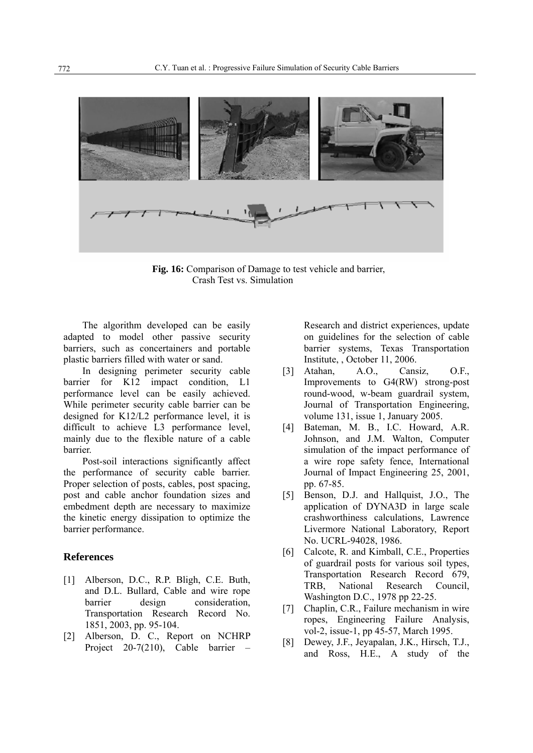

Fig. 16: Comparison of Damage to test vehicle and barrier, Crash Test vs. Simulation

The algorithm developed can be easily adapted to model other passive security barriers, such as concertainers and portable plastic barriers filled with water or sand.

In designing perimeter security cable barrier for K12 impact condition, L1 performance level can be easily achieved. While perimeter security cable barrier can be designed for K12/L2 performance level, it is difficult to achieve L3 performance level, mainly due to the flexible nature of a cable barrier.

Post-soil interactions significantly affect the performance of security cable barrier. Proper selection of posts, cables, post spacing, post and cable anchor foundation sizes and embedment depth are necessary to maximize the kinetic energy dissipation to optimize the barrier performance.

#### **References**

- [1] Alberson, D.C., R.P. Bligh, C.E. Buth, and D.L. Bullard, Cable and wire rope barrier design consideration, Transportation Research Record No. 1851, 2003, pp. 95-104.
- [2] Alberson, D. C., Report on NCHRP Project 20-7(210), Cable barrier –

Research and district experiences, update on guidelines for the selection of cable barrier systems, Texas Transportation Institute, , October 11, 2006.

- [3] Atahan, A.O., Cansiz, O.F., Improvements to G4(RW) strong-post round-wood, w-beam guardrail system, Journal of Transportation Engineering, volume 131, issue 1, January 2005.
- [4] Bateman, M. B., I.C. Howard, A.R. Johnson, and J.M. Walton, Computer simulation of the impact performance of a wire rope safety fence, International Journal of Impact Engineering 25, 2001, pp. 67-85.
- [5] Benson, D.J. and Hallquist, J.O., The application of DYNA3D in large scale crashworthiness calculations, Lawrence Livermore National Laboratory, Report No. UCRL-94028, 1986.
- [6] Calcote, R. and Kimball, C.E., Properties of guardrail posts for various soil types, Transportation Research Record 679, TRB, National Research Council, Washington D.C., 1978 pp 22-25.
- [7] Chaplin, C.R., Failure mechanism in wire ropes, Engineering Failure Analysis, vol-2, issue-1, pp 45-57, March 1995.
- [8] Dewey, J.F., Jeyapalan, J.K., Hirsch, T.J., and Ross, H.E., A study of the